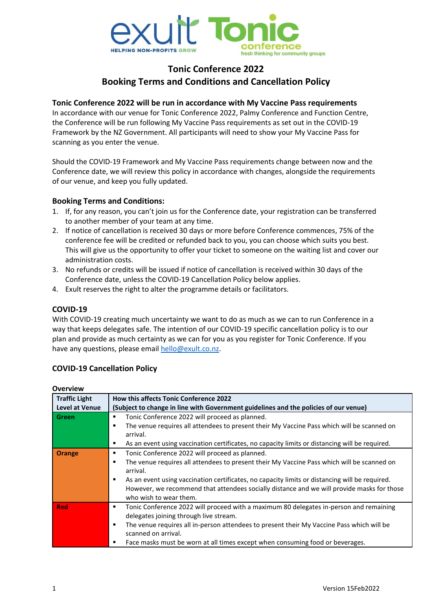

# **Tonic Conference 2022 Booking Terms and Conditions and Cancellation Policy**

## **Tonic Conference 2022 will be run in accordance with My Vaccine Pass requirements**

In accordance with our venue for Tonic Conference 2022, Palmy Conference and Function Centre, the Conference will be run following My Vaccine Pass requirements as set out in the COVID-19 Framework by the NZ Government. All participants will need to show your My Vaccine Pass for scanning as you enter the venue.

Should the COVID-19 Framework and My Vaccine Pass requirements change between now and the Conference date, we will review this policy in accordance with changes, alongside the requirements of our venue, and keep you fully updated.

## **Booking Terms and Conditions:**

- 1. If, for any reason, you can't join us for the Conference date, your registration can be transferred to another member of your team at any time.
- 2. If notice of cancellation is received 30 days or more before Conference commences, 75% of the conference fee will be credited or refunded back to you, you can choose which suits you best. This will give us the opportunity to offer your ticket to someone on the waiting list and cover our administration costs.
- 3. No refunds or credits will be issued if notice of cancellation is received within 30 days of the Conference date, unless the COVID-19 Cancellation Policy below applies.
- 4. Exult reserves the right to alter the programme details or facilitators.

#### **COVID-19**

With COVID-19 creating much uncertainty we want to do as much as we can to run Conference in a way that keeps delegates safe. The intention of our COVID-19 specific cancellation policy is to our plan and provide as much certainty as we can for you as you register for Tonic Conference. If you have any questions, please emai[l hello@exult.co.nz.](mailto:hello@exult.co.nz)

# **COVID-19 Cancellation Policy**

| <b>Traffic Light</b><br><b>Level at Venue</b> | <b>How this affects Tonic Conference 2022</b><br>(Subject to change in line with Government guidelines and the policies of our venue)                                                                                                                                                                                                                                                   |
|-----------------------------------------------|-----------------------------------------------------------------------------------------------------------------------------------------------------------------------------------------------------------------------------------------------------------------------------------------------------------------------------------------------------------------------------------------|
| Green                                         | Tonic Conference 2022 will proceed as planned.<br>The venue requires all attendees to present their My Vaccine Pass which will be scanned on<br>arrival.<br>As an event using vaccination certificates, no capacity limits or distancing will be required.<br>٠                                                                                                                         |
| Orange                                        | Tonic Conference 2022 will proceed as planned.<br>٠<br>The venue requires all attendees to present their My Vaccine Pass which will be scanned on<br>arrival.<br>As an event using vaccination certificates, no capacity limits or distancing will be required.<br>However, we recommend that attendees socially distance and we will provide masks for those<br>who wish to wear them. |
| <b>Red</b>                                    | Tonic Conference 2022 will proceed with a maximum 80 delegates in-person and remaining<br>٠<br>delegates joining through live stream.<br>The venue requires all in-person attendees to present their My Vaccine Pass which will be<br>п<br>scanned on arrival.<br>Face masks must be worn at all times except when consuming food or beverages.<br>п                                    |

# **Overview**